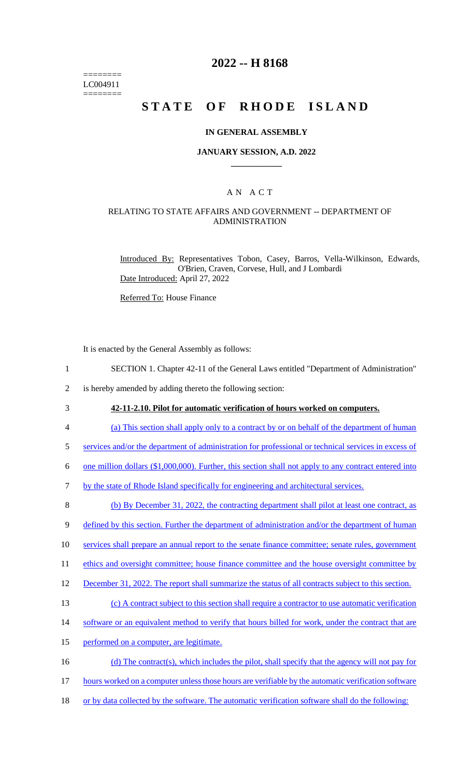======== LC004911 ========

## **2022 -- H 8168**

# **STATE OF RHODE ISLAND**

#### **IN GENERAL ASSEMBLY**

#### **JANUARY SESSION, A.D. 2022 \_\_\_\_\_\_\_\_\_\_\_\_**

## A N A C T

### RELATING TO STATE AFFAIRS AND GOVERNMENT -- DEPARTMENT OF ADMINISTRATION

Introduced By: Representatives Tobon, Casey, Barros, Vella-Wilkinson, Edwards, O'Brien, Craven, Corvese, Hull, and J Lombardi Date Introduced: April 27, 2022

Referred To: House Finance

It is enacted by the General Assembly as follows:

1 SECTION 1. Chapter 42-11 of the General Laws entitled "Department of Administration"

2 is hereby amended by adding thereto the following section:

3 **42-11-2.10. Pilot for automatic verification of hours worked on computers.** 

4 (a) This section shall apply only to a contract by or on behalf of the department of human

5 services and/or the department of administration for professional or technical services in excess of

6 one million dollars (\$1,000,000). Further, this section shall not apply to any contract entered into

7 by the state of Rhode Island specifically for engineering and architectural services.

8 (b) By December 31, 2022, the contracting department shall pilot at least one contract, as

9 defined by this section. Further the department of administration and/or the department of human

10 services shall prepare an annual report to the senate finance committee; senate rules, government

11 ethics and oversight committee; house finance committee and the house oversight committee by

12 December 31, 2022. The report shall summarize the status of all contracts subject to this section.

13 (c) A contract subject to this section shall require a contractor to use automatic verification

- 14 software or an equivalent method to verify that hours billed for work, under the contract that are
- 15 performed on a computer, are legitimate.
- 16 (d) The contract(s), which includes the pilot, shall specify that the agency will not pay for
- 17 hours worked on a computer unless those hours are verifiable by the automatic verification software
- 18 or by data collected by the software. The automatic verification software shall do the following: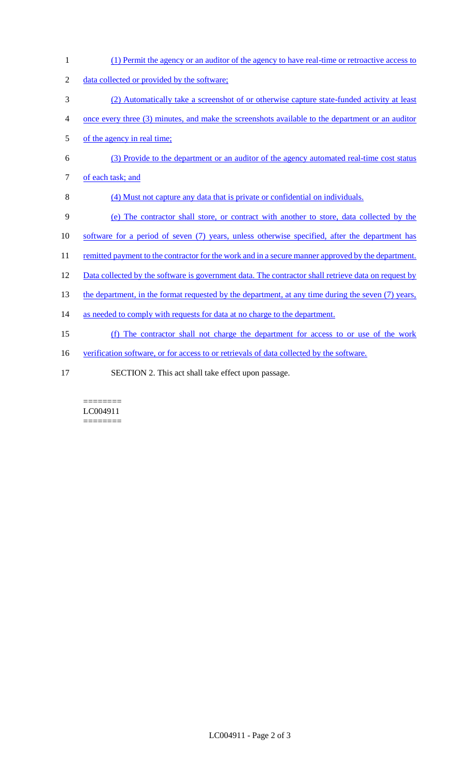1 (1) Permit the agency or an auditor of the agency to have real-time or retroactive access to 2 data collected or provided by the software; 3 (2) Automatically take a screenshot of or otherwise capture state-funded activity at least 4 once every three (3) minutes, and make the screenshots available to the department or an auditor 5 of the agency in real time; 6 (3) Provide to the department or an auditor of the agency automated real-time cost status 7 of each task; and 8 (4) Must not capture any data that is private or confidential on individuals. 9 (e) The contractor shall store, or contract with another to store, data collected by the 10 software for a period of seven (7) years, unless otherwise specified, after the department has 11 remitted payment to the contractor for the work and in a secure manner approved by the department. 12 Data collected by the software is government data. The contractor shall retrieve data on request by 13 the department, in the format requested by the department, at any time during the seven (7) years, 14 as needed to comply with requests for data at no charge to the department. 15 (f) The contractor shall not charge the department for access to or use of the work 16 verification software, or for access to or retrievals of data collected by the software. 17 SECTION 2. This act shall take effect upon passage.

======== LC004911 ========